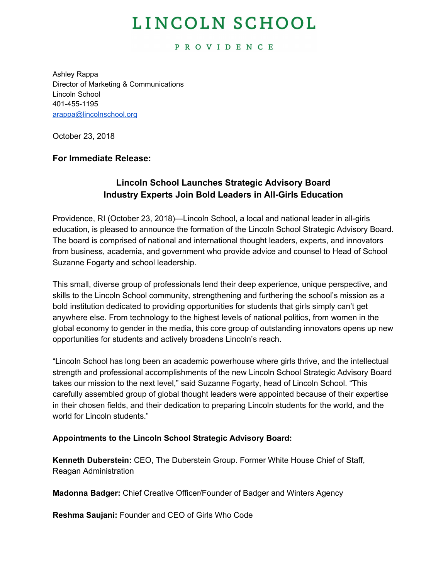# LINCOLN SCHOOL

#### **PROVIDENCE**

Ashley Rappa Director of Marketing & Communications Lincoln School 401-455-1195 [arappa@lincolnschool.org](mailto:arappa@lincolnschool.org)

October 23, 2018

#### **For Immediate Release:**

### **Lincoln School Launches Strategic Advisory Board Industry Experts Join Bold Leaders in All-Girls Education**

Providence, RI (October 23, 2018)—Lincoln School, a local and national leader in all-girls education, is pleased to announce the formation of the Lincoln School Strategic Advisory Board. The board is comprised of national and international thought leaders, experts, and innovators from business, academia, and government who provide advice and counsel to Head of School Suzanne Fogarty and school leadership.

This small, diverse group of professionals lend their deep experience, unique perspective, and skills to the Lincoln School community, strengthening and furthering the school's mission as a bold institution dedicated to providing opportunities for students that girls simply can't get anywhere else. From technology to the highest levels of national politics, from women in the global economy to gender in the media, this core group of outstanding innovators opens up new opportunities for students and actively broadens Lincoln's reach.

"Lincoln School has long been an academic powerhouse where girls thrive, and the intellectual strength and professional accomplishments of the new Lincoln School Strategic Advisory Board takes our mission to the next level," said Suzanne Fogarty, head of Lincoln School. "This carefully assembled group of global thought leaders were appointed because of their expertise in their chosen fields, and their dedication to preparing Lincoln students for the world, and the world for Lincoln students."

#### **Appointments to the Lincoln School Strategic Advisory Board:**

**Kenneth Duberstein:** CEO, The Duberstein Group. Former White House Chief of Staff, Reagan Administration

**Madonna Badger:** Chief Creative Officer/Founder of Badger and Winters Agency

**Reshma Saujani:** Founder and CEO of Girls Who Code